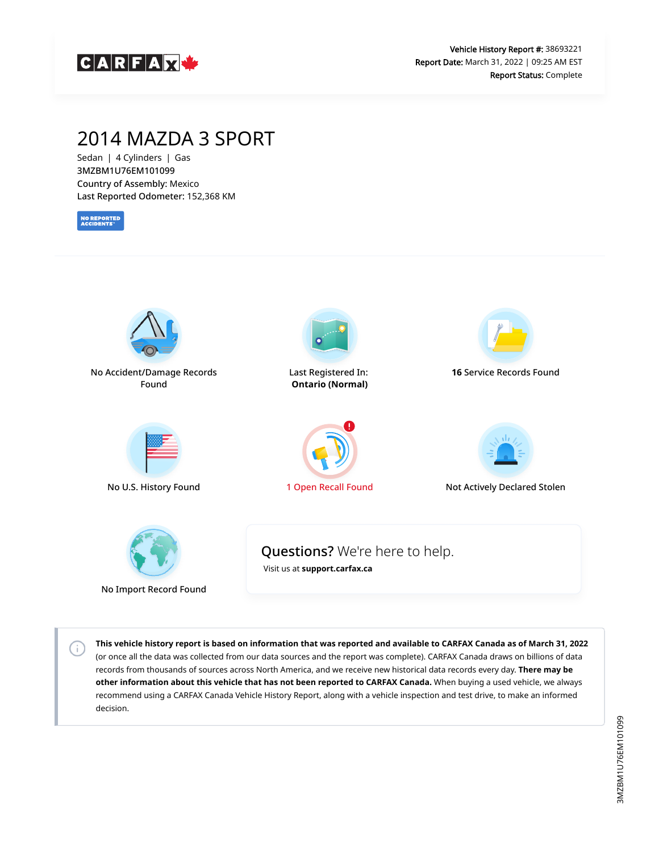

## 2014 MAZDA 3 SPORT

Sedan | 4 Cylinders | Gas 3MZBM1U76EM101099 Country of Assembly: Mexico Last Reported Odometer: 152,368 KM

**NO REPORTED**<br>ACCIDENTS

 $\left( \cdot \right)$ 



**This vehicle history report is based on information that was reported and available to CARFAX Canada as of March 31, 2022** (or once all the data was collected from our data sources and the report was complete). CARFAX Canada draws on billions of data records from thousands of sources across North America, and we receive new historical data records every day. **There may be other information about this vehicle that has not been reported to CARFAX Canada.** When buying a used vehicle, we always recommend using a CARFAX Canada Vehicle History Report, along with a vehicle inspection and test drive, to make an informed decision.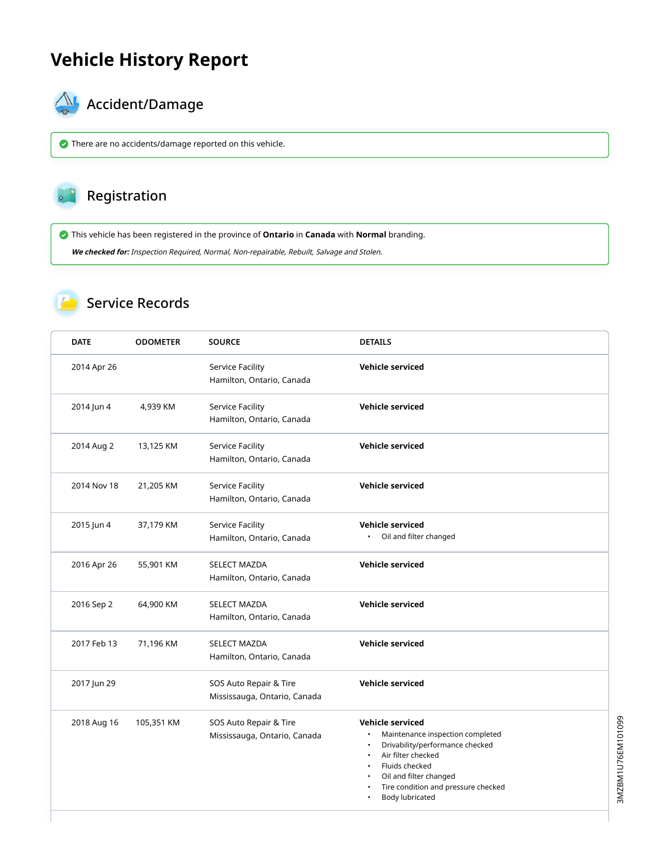## **Vehicle History Report**



# $\bigotimes$  Accident/Damage

There are no accidents/damage reported on this vehicle.

### Registration

This vehicle has been registered in the province of **Ontario** in **Canada** with **Normal** branding.

**We checked for:** Inspection Required, Normal, Non-repairable, Rebuilt, Salvage and Stolen.

### Service Records

| <b>DATE</b> | <b>ODOMETER</b> | <b>SOURCE</b>                                          | <b>DETAILS</b>                                                                                                                                                                                                             |
|-------------|-----------------|--------------------------------------------------------|----------------------------------------------------------------------------------------------------------------------------------------------------------------------------------------------------------------------------|
| 2014 Apr 26 |                 | Service Facility<br>Hamilton, Ontario, Canada          | <b>Vehicle serviced</b>                                                                                                                                                                                                    |
| 2014 Jun 4  | 4,939 KM        | Service Facility<br>Hamilton, Ontario, Canada          | <b>Vehicle serviced</b>                                                                                                                                                                                                    |
| 2014 Aug 2  | 13,125 KM       | Service Facility<br>Hamilton, Ontario, Canada          | <b>Vehicle serviced</b>                                                                                                                                                                                                    |
| 2014 Nov 18 | 21,205 KM       | Service Facility<br>Hamilton, Ontario, Canada          | <b>Vehicle serviced</b>                                                                                                                                                                                                    |
| 2015 Jun 4  | 37,179 KM       | Service Facility<br>Hamilton, Ontario, Canada          | Vehicle serviced<br>Oil and filter changed<br>$\bullet$                                                                                                                                                                    |
| 2016 Apr 26 | 55,901 KM       | <b>SELECT MAZDA</b><br>Hamilton, Ontario, Canada       | <b>Vehicle serviced</b>                                                                                                                                                                                                    |
| 2016 Sep 2  | 64,900 KM       | <b>SELECT MAZDA</b><br>Hamilton, Ontario, Canada       | <b>Vehicle serviced</b>                                                                                                                                                                                                    |
| 2017 Feb 13 | 71,196 KM       | <b>SELECT MAZDA</b><br>Hamilton, Ontario, Canada       | <b>Vehicle serviced</b>                                                                                                                                                                                                    |
| 2017 Jun 29 |                 | SOS Auto Repair & Tire<br>Mississauga, Ontario, Canada | <b>Vehicle serviced</b>                                                                                                                                                                                                    |
| 2018 Aug 16 | 105,351 KM      | SOS Auto Repair & Tire<br>Mississauga, Ontario, Canada | <b>Vehicle serviced</b><br>Maintenance inspection completed<br>Drivability/performance checked<br>Air filter checked<br>Fluids checked<br>Oil and filter changed<br>Tire condition and pressure checked<br>Body lubricated |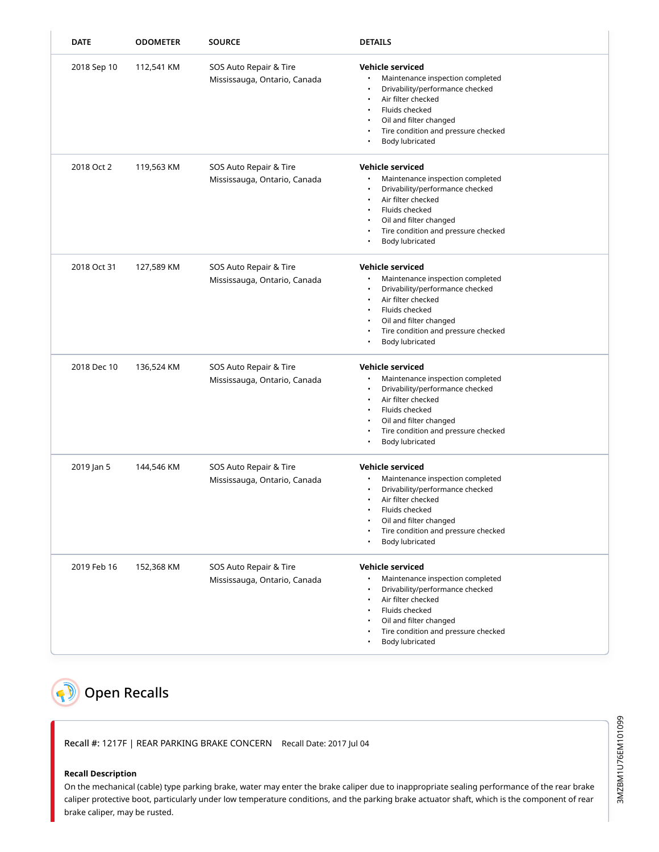| <b>DATE</b> | <b>ODOMETER</b> | <b>SOURCE</b>                                          | <b>DETAILS</b>                                                                                                                                                                                                                  |
|-------------|-----------------|--------------------------------------------------------|---------------------------------------------------------------------------------------------------------------------------------------------------------------------------------------------------------------------------------|
| 2018 Sep 10 | 112,541 KM      | SOS Auto Repair & Tire<br>Mississauga, Ontario, Canada | Vehicle serviced<br>Maintenance inspection completed<br>Drivability/performance checked<br>Air filter checked<br>Fluids checked<br>Oil and filter changed<br>Tire condition and pressure checked<br>Body lubricated             |
| 2018 Oct 2  | 119,563 KM      | SOS Auto Repair & Tire<br>Mississauga, Ontario, Canada | <b>Vehicle serviced</b><br>Maintenance inspection completed<br>Drivability/performance checked<br>Air filter checked<br>Fluids checked<br>Oil and filter changed<br>Tire condition and pressure checked<br>Body lubricated      |
| 2018 Oct 31 | 127,589 KM      | SOS Auto Repair & Tire<br>Mississauga, Ontario, Canada | <b>Vehicle serviced</b><br>Maintenance inspection completed<br>Drivability/performance checked<br>Air filter checked<br>Fluids checked<br>٠<br>Oil and filter changed<br>Tire condition and pressure checked<br>Body lubricated |
| 2018 Dec 10 | 136,524 KM      | SOS Auto Repair & Tire<br>Mississauga, Ontario, Canada | <b>Vehicle serviced</b><br>Maintenance inspection completed<br>Drivability/performance checked<br>٠<br>Air filter checked<br>Fluids checked<br>Oil and filter changed<br>Tire condition and pressure checked<br>Body lubricated |
| 2019 Jan 5  | 144,546 KM      | SOS Auto Repair & Tire<br>Mississauga, Ontario, Canada | <b>Vehicle serviced</b><br>Maintenance inspection completed<br>Drivability/performance checked<br>Air filter checked<br>Fluids checked<br>Oil and filter changed<br>Tire condition and pressure checked<br>Body lubricated      |
| 2019 Feb 16 | 152,368 KM      | SOS Auto Repair & Tire<br>Mississauga, Ontario, Canada | <b>Vehicle serviced</b><br>Maintenance inspection completed<br>Drivability/performance checked<br>Air filter checked<br>Fluids checked<br>Oil and filter changed<br>Tire condition and pressure checked<br>Body lubricated      |

## <span id="page-2-0"></span>**Q** Open Recalls

Recall #: 1217F | REAR PARKING BRAKE CONCERN Recall Date: 2017 Jul 04

#### **Recall Description**

On the mechanical (cable) type parking brake, water may enter the brake caliper due to inappropriate sealing performance of the rear brake caliper protective boot, particularly under low temperature conditions, and the parking brake actuator shaft, which is the component of rear brake caliper, may be rusted.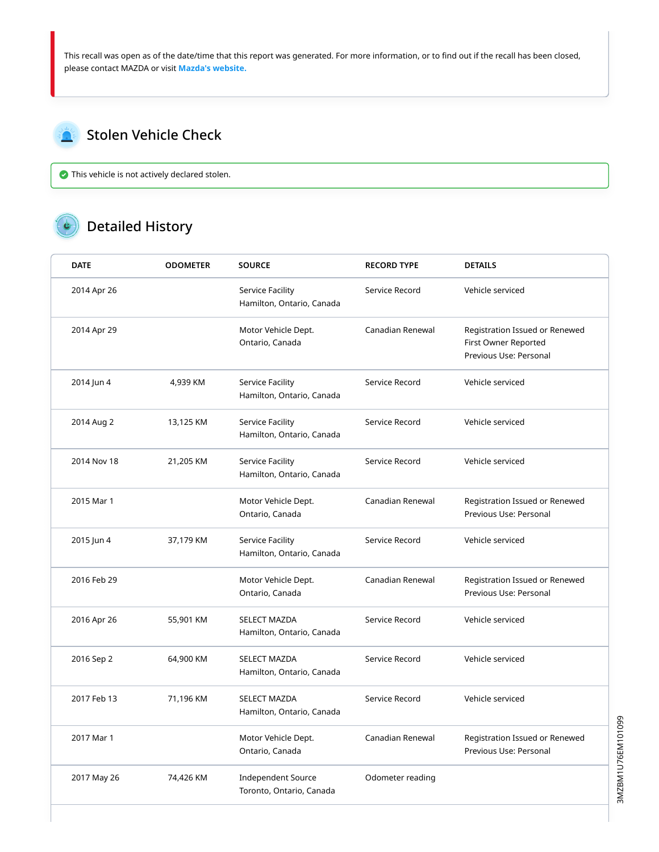This recall was open as of the date/time that this report was generated. For more information, or to find out if the recall has been closed, please contact MAZDA or visit **[Mazda's website.](https://www.mazda.ca/en/owners/recalls/)**

### <span id="page-3-0"></span>Stolen Vehicle Check

This vehicle is not actively declared stolen.

#### Detailed History  $\bullet$

| <b>DATE</b> | <b>ODOMETER</b> | <b>SOURCE</b>                                         | <b>RECORD TYPE</b> | <b>DETAILS</b>                                                                   |
|-------------|-----------------|-------------------------------------------------------|--------------------|----------------------------------------------------------------------------------|
| 2014 Apr 26 |                 | Service Facility<br>Hamilton, Ontario, Canada         | Service Record     | Vehicle serviced                                                                 |
| 2014 Apr 29 |                 | Motor Vehicle Dept.<br>Ontario, Canada                | Canadian Renewal   | Registration Issued or Renewed<br>First Owner Reported<br>Previous Use: Personal |
| 2014 Jun 4  | 4,939 KM        | Service Facility<br>Hamilton, Ontario, Canada         | Service Record     | Vehicle serviced                                                                 |
| 2014 Aug 2  | 13,125 KM       | Service Facility<br>Hamilton, Ontario, Canada         | Service Record     | Vehicle serviced                                                                 |
| 2014 Nov 18 | 21,205 KM       | Service Facility<br>Hamilton, Ontario, Canada         | Service Record     | Vehicle serviced                                                                 |
| 2015 Mar 1  |                 | Motor Vehicle Dept.<br>Ontario, Canada                | Canadian Renewal   | Registration Issued or Renewed<br>Previous Use: Personal                         |
| 2015 Jun 4  | 37,179 KM       | Service Facility<br>Hamilton, Ontario, Canada         | Service Record     | Vehicle serviced                                                                 |
| 2016 Feb 29 |                 | Motor Vehicle Dept.<br>Ontario, Canada                | Canadian Renewal   | Registration Issued or Renewed<br>Previous Use: Personal                         |
| 2016 Apr 26 | 55,901 KM       | <b>SELECT MAZDA</b><br>Hamilton, Ontario, Canada      | Service Record     | Vehicle serviced                                                                 |
| 2016 Sep 2  | 64,900 KM       | <b>SELECT MAZDA</b><br>Hamilton, Ontario, Canada      | Service Record     | Vehicle serviced                                                                 |
| 2017 Feb 13 | 71,196 KM       | <b>SELECT MAZDA</b><br>Hamilton, Ontario, Canada      | Service Record     | Vehicle serviced                                                                 |
| 2017 Mar 1  |                 | Motor Vehicle Dept.<br>Ontario, Canada                | Canadian Renewal   | Registration Issued or Renewed<br>Previous Use: Personal                         |
| 2017 May 26 | 74,426 KM       | <b>Independent Source</b><br>Toronto, Ontario, Canada | Odometer reading   |                                                                                  |